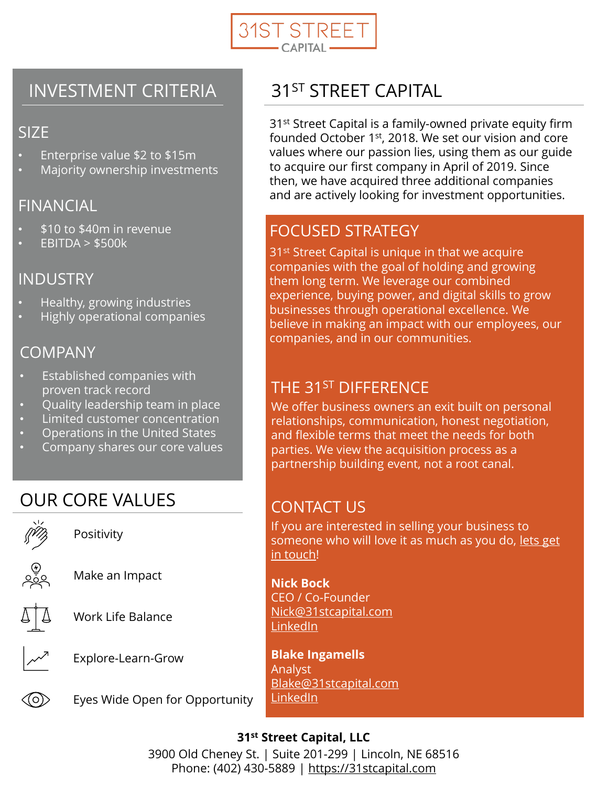

#### INVESTMENT CRITERIA

#### SIZE

- Enterprise value \$2 to \$15m
- Majority ownership investments

#### FINANCIAL

- \$10 to \$40m in revenue
- $EBITDA > $500k$

#### INDUSTRY

- Healthy, growing industries
- Highly operational companies

#### COMPANY

- Established companies with proven track record
- Quality leadership team in place
- Limited customer concentration
- Operations in the United States
- Company shares our core values

## OUR CORE VALUES



## 31<sup>ST</sup> STREET CAPITAL

31<sup>st</sup> Street Capital is a family-owned private equity firm founded October 1st, 2018. We set our vision and core values where our passion lies, using them as our guide to acquire our first company in April of 2019. Since then, we have acquired three additional companies and are actively looking for investment opportunities.

#### FOCUSED STRATEGY

31<sup>st</sup> Street Capital is unique in that we acquire companies with the goal of holding and growing them long term. We leverage our combined experience, buying power, and digital skills to grow businesses through operational excellence. We believe in making an impact with our employees, our companies, and in our communities.

#### THE 31<sup>ST</sup> DIFFERENCE

We offer business owners an exit built on personal relationships, communication, honest negotiation, and flexible terms that meet the needs for both parties. We view the acquisition process as a partnership building event, not a root canal.

#### CONTACT US

If you are interested in selling your business to [someone who will love it as much as you do, lets get](https://31stcapital.com/contact-us) in touch!

**Nick Bock** CEO / Co-Founder [Nick@31stcapital.com](mailto:Nick@31stcapital.com) [LinkedIn](https://www.linkedin.com/in/nickbock/)

**Blake Ingamells** Analyst [Blake@31stcapital.com](mailto:Blake@31stcapital.com) [LinkedIn](https://www.linkedin.com/in/blake-ingamells/)

# **31st Street Capital, LLC**

3900 Old Cheney St. | Suite 201-299 | Lincoln, NE 68516 Phone: (402) 430-5889 | [https://31stcapital.com](https://31stcapital.com/)